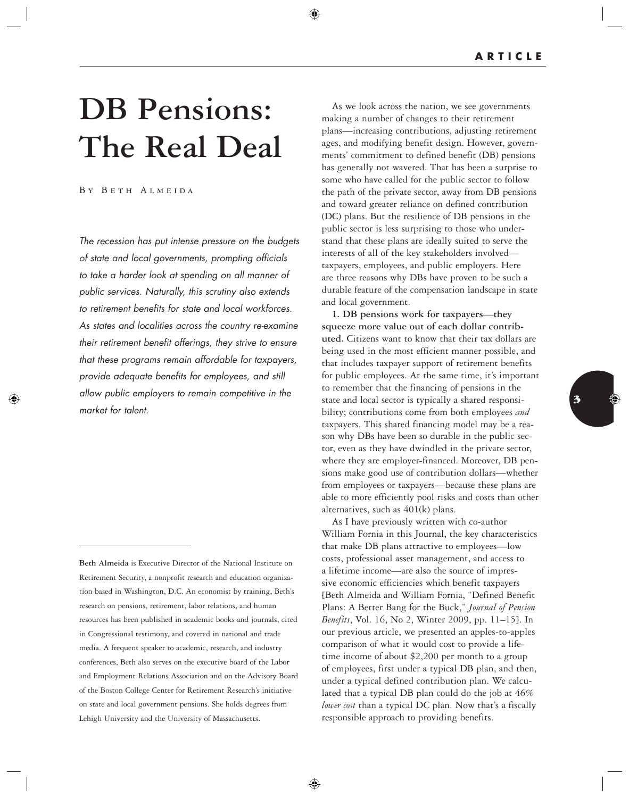## **DB Pensions: The Real Deal**

## B y B e t h A l m e i d a

 $\Leftrightarrow$ 

The recession has put intense pressure on the budgets of state and local governments, prompting officials to take a harder look at spending on all manner of public services. Naturally, this scrutiny also extends to retirement benefits for state and local workforces. As states and localities across the country re-examine their retirement benefit offerings, they strive to ensure that these programs remain affordable for taxpayers, provide adequate benefits for employees, and still allow public employers to remain competitive in the market for talent.

 **Beth Almeida** is Executive Director of the National Institute on Retirement Security, a nonprofit research and education organization based in Washington, D.C. An economist by training, Beth's research on pensions, retirement, labor relations, and human resources has been published in academic books and journals, cited in Congressional testimony, and covered in national and trade media. A frequent speaker to academic, research, and industry conferences, Beth also serves on the executive board of the Labor and Employment Relations Association and on the Advisory Board of the Boston College Center for Retirement Research's initiative on state and local government pensions. She holds degrees from Lehigh University and the University of Massachusetts.

 As we look across the nation, we see governments making a number of changes to their retirement plans—increasing contributions, adjusting retirement ages, and modifying benefit design. However, governments' commitment to defined benefit (DB) pensions has generally not wavered. That has been a surprise to some who have called for the public sector to follow the path of the private sector, away from DB pensions and toward greater reliance on defined contribution (DC) plans. But the resilience of DB pensions in the public sector is less surprising to those who understand that these plans are ideally suited to serve the interests of all of the key stakeholders involved taxpayers, employees, and public employers. Here are three reasons why DBs have proven to be such a durable feature of the compensation landscape in state and local government.

⊕

 **1. DB pensions work for taxpayers** — **they squeeze more value out of each dollar contributed.** Citizens want to know that their tax dollars are being used in the most efficient manner possible, and that includes taxpayer support of retirement benefits for public employees. At the same time, it's important to remember that the financing of pensions in the state and local sector is typically a shared responsibility; contributions come from both employees *and* taxpayers. This shared financing model may be a reason why DBs have been so durable in the public sector, even as they have dwindled in the private sector, where they are employer-financed. Moreover, DB pensions make good use of contribution dollars—whether from employees or taxpayers—because these plans are able to more efficiently pool risks and costs than other alternatives, such as 401(k) plans.

 As I have previously written with co-author William Fornia in this Journal, the key characteristics that make DB plans attractive to employees—low costs, professional asset management, and access to a lifetime income—are also the source of impressive economic efficiencies which benefit taxpayers [Beth Almeida and William Fornia, "Defined Benefit Plans: A Better Bang for the Buck," *Journal of Pension Benefits* , Vol. 16, No 2, Winter 2009, pp. 11–15]. In our previous article, we presented an apples-to-apples comparison of what it would cost to provide a lifetime income of about \$2,200 per month to a group of employees, first under a typical DB plan, and then, under a typical defined contribution plan. We calculated that a typical DB plan could do the job at 46% *lower cost* than a typical DC plan. Now that's a fiscally responsible approach to providing benefits.



◈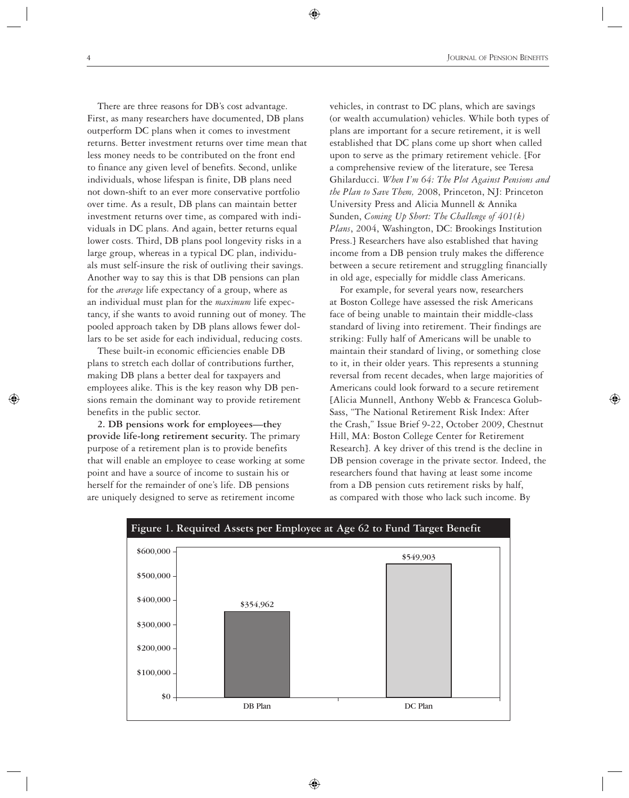⊕

 There are three reasons for DB's cost advantage. First, as many researchers have documented, DB plans outperform DC plans when it comes to investment returns. Better investment returns over time mean that less money needs to be contributed on the front end to finance any given level of benefits. Second, unlike individuals, whose lifespan is finite, DB plans need not down-shift to an ever more conservative portfolio over time. As a result, DB plans can maintain better investment returns over time, as compared with individuals in DC plans. And again, better returns equal lower costs. Third, DB plans pool longevity risks in a large group, whereas in a typical DC plan, individuals must self-insure the risk of outliving their savings. Another way to say this is that DB pensions can plan for the *average* life expectancy of a group, where as an individual must plan for the *maximum* life expectancy, if she wants to avoid running out of money. The pooled approach taken by DB plans allows fewer dollars to be set aside for each individual, reducing costs.

 These built-in economic efficiencies enable DB plans to stretch each dollar of contributions further, making DB plans a better deal for taxpayers and employees alike. This is the key reason why DB pensions remain the dominant way to provide retirement benefits in the public sector.

 **2. DB pensions work for employees—they provide life-long retirement security.** The primary purpose of a retirement plan is to provide benefits that will enable an employee to cease working at some point and have a source of income to sustain his or herself for the remainder of one's life. DB pensions are uniquely designed to serve as retirement income

vehicles, in contrast to DC plans, which are savings (or wealth accumulation) vehicles. While both types of plans are important for a secure retirement, it is well established that DC plans come up short when called upon to serve as the primary retirement vehicle. [For a comprehensive review of the literature, see Teresa Ghilarducci. *When I'm 64: The Plot Against Pensions and the Plan to Save Them,* 2008, Princeton, NJ: Princeton University Press and Alicia Munnell & Annika Sunden, *Coming Up Short: The Challenge of 401(k) Plans* , 2004, Washington, DC: Brookings Institution Press.] Researchers have also established that having income from a DB pension truly makes the difference between a secure retirement and struggling financially in old age, especially for middle class Americans.

 For example, for several years now, researchers at Boston College have assessed the risk Americans face of being unable to maintain their middle-class standard of living into retirement. Their findings are striking: Fully half of Americans will be unable to maintain their standard of living, or something close to it, in their older years. This represents a stunning reversal from recent decades, when large majorities of Americans could look forward to a secure retirement [Alicia Munnell, Anthony Webb & Francesca Golub-Sass, "The National Retirement Risk Index: After the Crash," Issue Brief 9-22, October 2009, Chestnut Hill, MA: Boston College Center for Retirement Research]. A key driver of this trend is the decline in DB pension coverage in the private sector. Indeed, the researchers found that having at least some income from a DB pension cuts retirement risks by half, as compared with those who lack such income. By

⊕



 $\Leftrightarrow$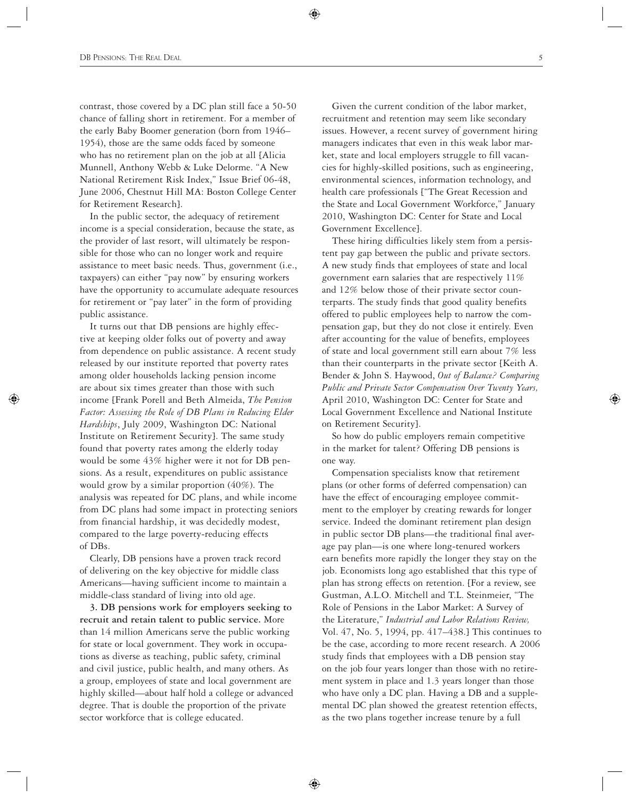contrast, those covered by a DC plan still face a 50-50 chance of falling short in retirement. For a member of the early Baby Boomer generation (born from 1946– 1954), those are the same odds faced by someone who has no retirement plan on the job at all [Alicia Munnell, Anthony Webb & Luke Delorme. "A New National Retirement Risk Index," Issue Brief 06-48, June 2006, Chestnut Hill MA: Boston College Center for Retirement Research].

 In the public sector, the adequacy of retirement income is a special consideration, because the state, as the provider of last resort, will ultimately be responsible for those who can no longer work and require assistance to meet basic needs. Thus, government (i.e., taxpayers) can either "pay now" by ensuring workers have the opportunity to accumulate adequate resources for retirement or "pay later" in the form of providing public assistance.

 It turns out that DB pensions are highly effective at keeping older folks out of poverty and away from dependence on public assistance. A recent study released by our institute reported that poverty rates among older households lacking pension income are about six times greater than those with such income [Frank Porell and Beth Almeida, *The Pension*  Factor: Assessing the Role of DB Plans in Reducing Elder *Hardships* , July 2009, Washington DC: National Institute on Retirement Security]. The same study found that poverty rates among the elderly today would be some 43% higher were it not for DB pensions. As a result, expenditures on public assistance would grow by a similar proportion (40%). The analysis was repeated for DC plans, and while income from DC plans had some impact in protecting seniors from financial hardship, it was decidedly modest, compared to the large poverty-reducing effects of DBs.

⇔

 Clearly, DB pensions have a proven track record of delivering on the key objective for middle class Americans—having sufficient income to maintain a middle-class standard of living into old age.

 **3. DB pensions work for employers seeking to recruit and retain talent to public service.** More than 14 million Americans serve the public working for state or local government. They work in occupations as diverse as teaching, public safety, criminal and civil justice, public health, and many others. As a group, employees of state and local government are highly skilled—about half hold a college or advanced degree. That is double the proportion of the private sector workforce that is college educated.

 Given the current condition of the labor market, recruitment and retention may seem like secondary issues. However, a recent survey of government hiring managers indicates that even in this weak labor market, state and local employers struggle to fill vacancies for highly-skilled positions, such as engineering, environmental sciences, information technology, and health care professionals ["The Great Recession and the State and Local Government Workforce," January 2010, Washington DC: Center for State and Local Government Excellence].

⊕

 These hiring difficulties likely stem from a persistent pay gap between the public and private sectors. A new study finds that employees of state and local government earn salaries that are respectively 11% and 12% below those of their private sector counterparts. The study finds that good quality benefits offered to public employees help to narrow the compensation gap, but they do not close it entirely. Even after accounting for the value of benefits, employees of state and local government still earn about 7% less than their counterparts in the private sector [Keith A. Bender & John S. Haywood, *Out of Balance? Comparing Public and Private Sector Compensation Over Twenty Years,*  April 2010, Washington DC: Center for State and Local Government Excellence and National Institute on Retirement Security].

 So how do public employers remain competitive in the market for talent? Offering DB pensions is one way.

 Compensation specialists know that retirement plans (or other forms of deferred compensation) can have the effect of encouraging employee commitment to the employer by creating rewards for longer service. Indeed the dominant retirement plan design in public sector DB plans—the traditional final average pay plan—is one where long-tenured workers earn benefits more rapidly the longer they stay on the job. Economists long ago established that this type of plan has strong effects on retention. [For a review, see Gustman, A.L.O. Mitchell and T.L. Steinmeier, "The Role of Pensions in the Labor Market: A Survey of the Literature," *Industrial and Labor Relations Review,* Vol. 47, No. 5, 1994, pp. 417–438.] This continues to be the case, according to more recent research. A 2006 study finds that employees with a DB pension stay on the job four years longer than those with no retirement system in place and 1.3 years longer than those who have only a DC plan. Having a DB and a supplemental DC plan showed the greatest retention effects, as the two plans together increase tenure by a full

⊕